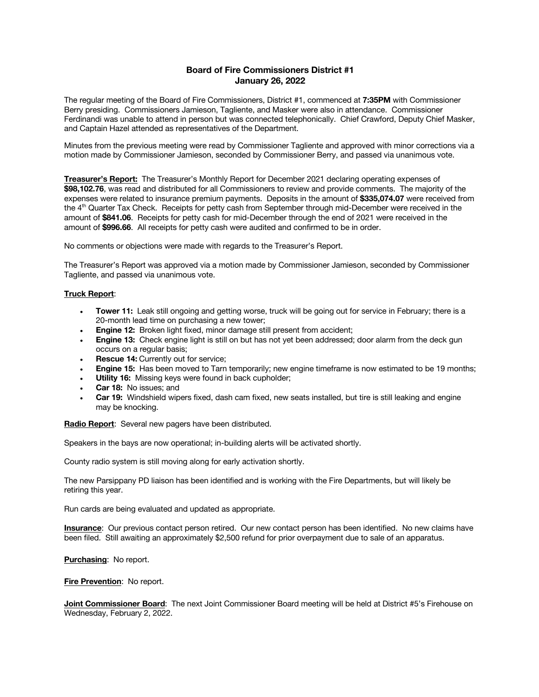# **Board of Fire Commissioners District #1 January 26, 2022**

The regular meeting of the Board of Fire Commissioners, District #1, commenced at **7:35PM** with Commissioner Berry presiding. Commissioners Jamieson, Tagliente, and Masker were also in attendance. Commissioner Ferdinandi was unable to attend in person but was connected telephonically. Chief Crawford, Deputy Chief Masker, and Captain Hazel attended as representatives of the Department.

Minutes from the previous meeting were read by Commissioner Tagliente and approved with minor corrections via a motion made by Commissioner Jamieson, seconded by Commissioner Berry, and passed via unanimous vote.

**Treasurer's Report:** The Treasurer's Monthly Report for December 2021 declaring operating expenses of **\$98,102.76**, was read and distributed for all Commissioners to review and provide comments. The majority of the expenses were related to insurance premium payments. Deposits in the amount of **\$335,074.07** were received from the 4th Quarter Tax Check. Receipts for petty cash from September through mid-December were received in the amount of **\$841.06**. Receipts for petty cash for mid-December through the end of 2021 were received in the amount of **\$996.66**. All receipts for petty cash were audited and confirmed to be in order.

No comments or objections were made with regards to the Treasurer's Report.

The Treasurer's Report was approved via a motion made by Commissioner Jamieson, seconded by Commissioner Tagliente, and passed via unanimous vote.

### **Truck Report**:

- **Tower 11:** Leak still ongoing and getting worse, truck will be going out for service in February; there is a 20-month lead time on purchasing a new tower;
- **Engine 12:** Broken light fixed, minor damage still present from accident;
- **Engine 13:** Check engine light is still on but has not yet been addressed; door alarm from the deck gun occurs on a regular basis;
- **Rescue 14: Currently out for service;**
- **Engine 15:** Has been moved to Tarn temporarily; new engine timeframe is now estimated to be 19 months;
- **Utility 16:** Missing keys were found in back cupholder;
- **Car 18:** No issues; and
- **Car 19:** Windshield wipers fixed, dash cam fixed, new seats installed, but tire is still leaking and engine may be knocking.

**Radio Report**: Several new pagers have been distributed.

Speakers in the bays are now operational; in-building alerts will be activated shortly.

County radio system is still moving along for early activation shortly.

The new Parsippany PD liaison has been identified and is working with the Fire Departments, but will likely be retiring this year.

Run cards are being evaluated and updated as appropriate.

**Insurance**: Our previous contact person retired. Our new contact person has been identified. No new claims have been filed. Still awaiting an approximately \$2,500 refund for prior overpayment due to sale of an apparatus.

**Purchasing**: No report.

**Fire Prevention**: No report.

**Joint Commissioner Board**: The next Joint Commissioner Board meeting will be held at District #5's Firehouse on Wednesday, February 2, 2022.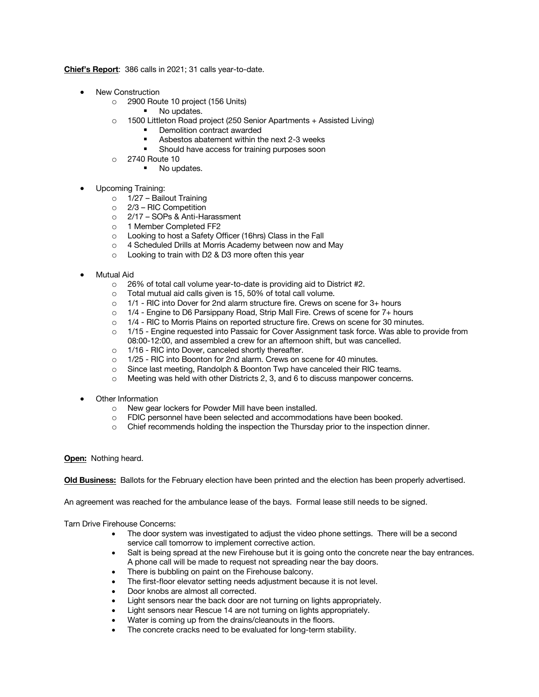**Chief's Report**: 386 calls in 2021; 31 calls year-to-date.

- New Construction
	- o 2900 Route 10 project (156 Units)
		- No updates.
	- o 1500 Littleton Road project (250 Senior Apartments + Assisted Living)
		- Demolition contract awarded
		- Asbestos abatement within the next 2-3 weeks
		- § Should have access for training purposes soon
	- o 2740 Route 10
		- No updates.
- Upcoming Training:
	- o 1/27 Bailout Training
	- o 2/3 RIC Competition
	- o 2/17 SOPs & Anti-Harassment
	- o 1 Member Completed FF2
	- o Looking to host a Safety Officer (16hrs) Class in the Fall
	- o 4 Scheduled Drills at Morris Academy between now and May
	- o Looking to train with D2 & D3 more often this year
- Mutual Aid
	- o 26% of total call volume year-to-date is providing aid to District #2.
	- o Total mutual aid calls given is 15, 50% of total call volume.
	- o 1/1 RIC into Dover for 2nd alarm structure fire. Crews on scene for 3+ hours
	- o 1/4 Engine to D6 Parsippany Road, Strip Mall Fire. Crews of scene for 7+ hours
	- o 1/4 RIC to Morris Plains on reported structure fire. Crews on scene for 30 minutes.
	- o 1/15 Engine requested into Passaic for Cover Assignment task force. Was able to provide from 08:00-12:00, and assembled a crew for an afternoon shift, but was cancelled.
	- o 1/16 RIC into Dover, canceled shortly thereafter.
	- o 1/25 RIC into Boonton for 2nd alarm. Crews on scene for 40 minutes.
	- o Since last meeting, Randolph & Boonton Twp have canceled their RIC teams.
	- o Meeting was held with other Districts 2, 3, and 6 to discuss manpower concerns.
- Other Information
	- o New gear lockers for Powder Mill have been installed.
	- o FDIC personnel have been selected and accommodations have been booked.
	- o Chief recommends holding the inspection the Thursday prior to the inspection dinner.

# **Open:** Nothing heard.

**Old Business:** Ballots for the February election have been printed and the election has been properly advertised.

An agreement was reached for the ambulance lease of the bays. Formal lease still needs to be signed.

Tarn Drive Firehouse Concerns:

- The door system was investigated to adjust the video phone settings. There will be a second service call tomorrow to implement corrective action.
- Salt is being spread at the new Firehouse but it is going onto the concrete near the bay entrances. A phone call will be made to request not spreading near the bay doors.
- There is bubbling on paint on the Firehouse balcony.
- The first-floor elevator setting needs adjustment because it is not level.
- Door knobs are almost all corrected.
- Light sensors near the back door are not turning on lights appropriately.
- Light sensors near Rescue 14 are not turning on lights appropriately.
- Water is coming up from the drains/cleanouts in the floors.
- The concrete cracks need to be evaluated for long-term stability.